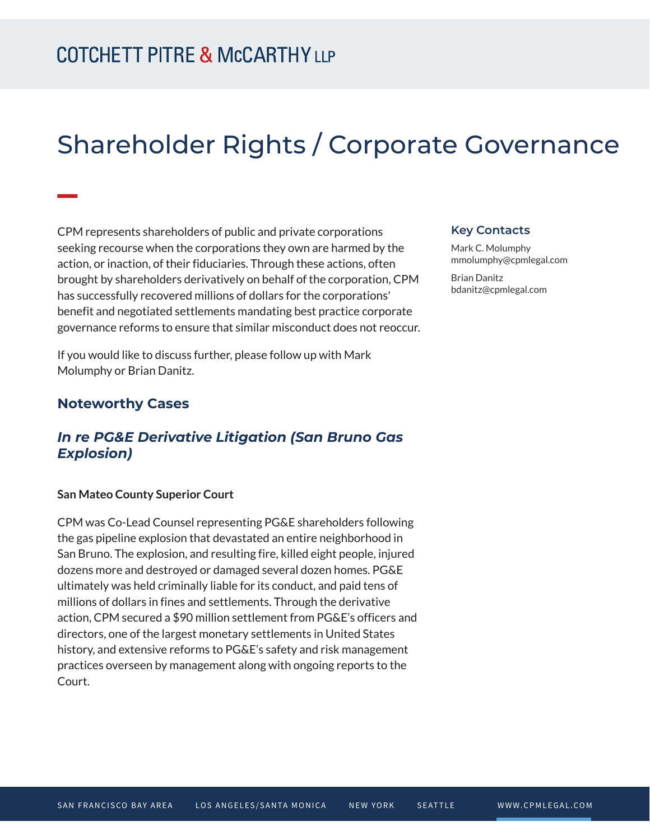# Shareholder Rights / Corporate Governance

CPM represents shareholders of public and private corporations seeking recourse when the corporations they own are harmed by the action, or inaction, of their fiduciaries. Through these actions, often brought by shareholders derivatively on behalf of the corporation, CPM has successfully recovered millions of dollars for the corporations' benefit and negotiated settlements mandating best practice corporate governance reforms to ensure that similar misconduct does not reoccur.

If you would like to discuss further, please follow up with Mark Molumphy or Brian Danitz.

#### **Noteworthy Cases**

**William** 

### *In re PG&E Derivative Litigation (San Bruno Gas Explosion)*

#### **San Mateo County Superior Court**

CPM was Co-Lead Counsel representing PG&E shareholders following the gas pipeline explosion that devastated an entire neighborhood in San Bruno. The explosion, and resulting fire, killed eight people, injured dozens more and destroyed or damaged several dozen homes. PG&E ultimately was held criminally liable for its conduct, and paid tens of millions of dollars in fines and settlements. Through the derivative action, CPM secured a \$90 million settlement from PG&E's officers and directors, one of the largest monetary settlements in United States history, and extensive reforms to PG&E's safety and risk management practices overseen by management along with ongoing reports to the Court.

#### **Key Contacts**

Mark C. Molumphy mmolumphy@cpmlegal.com

Brian Danitz bdanitz@cpmlegal.com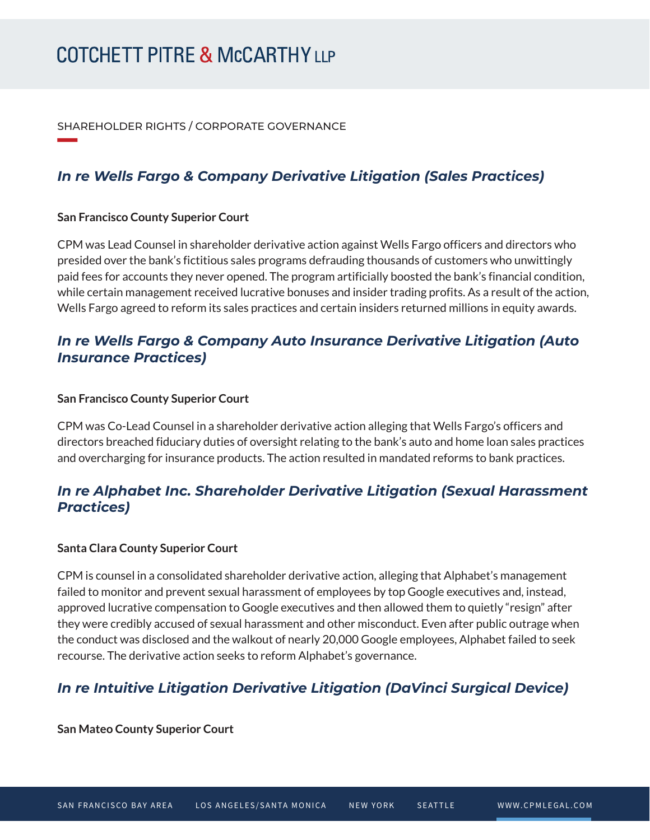SHAREHOLDER RIGHTS / CORPORATE GOVERNANCE

## *In re Wells Fargo & Company Derivative Litigation (Sales Practices)*

#### **San Francisco County Superior Court**

**William Company** 

CPM was Lead Counsel in shareholder derivative action against Wells Fargo officers and directors who presided over the bank's fictitious sales programs defrauding thousands of customers who unwittingly paid fees for accounts they never opened. The program artificially boosted the bank's financial condition, while certain management received lucrative bonuses and insider trading profits. As a result of the action, Wells Fargo agreed to reform its sales practices and certain insiders returned millions in equity awards.

## *In re Wells Fargo & Company Auto Insurance Derivative Litigation (Auto Insurance Practices)*

#### **San Francisco County Superior Court**

CPM was Co-Lead Counsel in a shareholder derivative action alleging that Wells Fargo's officers and directors breached fiduciary duties of oversight relating to the bank's auto and home loan sales practices and overcharging for insurance products. The action resulted in mandated reforms to bank practices.

## *In re Alphabet Inc. Shareholder Derivative Litigation (Sexual Harassment Practices)*

#### **Santa Clara County Superior Court**

CPM is counsel in a consolidated shareholder derivative action, alleging that Alphabet's management failed to monitor and prevent sexual harassment of employees by top Google executives and, instead, approved lucrative compensation to Google executives and then allowed them to quietly "resign" after they were credibly accused of sexual harassment and other misconduct. Even after public outrage when the conduct was disclosed and the walkout of nearly 20,000 Google employees, Alphabet failed to seek recourse. The derivative action seeks to reform Alphabet's governance.

## *In re Intuitive Litigation Derivative Litigation (DaVinci Surgical Device)*

**San Mateo County Superior Court**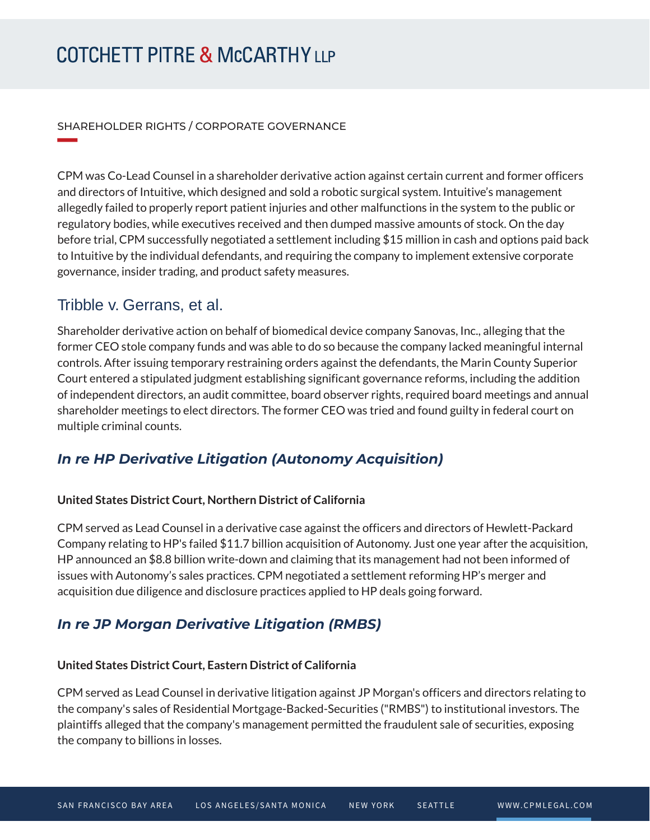#### SHAREHOLDER RIGHTS / CORPORATE GOVERNANCE

CPM was Co-Lead Counsel in a shareholder derivative action against certain current and former officers and directors of Intuitive, which designed and sold a robotic surgical system. Intuitive's management allegedly failed to properly report patient injuries and other malfunctions in the system to the public or regulatory bodies, while executives received and then dumped massive amounts of stock. On the day before trial, CPM successfully negotiated a settlement including \$15 million in cash and options paid back to Intuitive by the individual defendants, and requiring the company to implement extensive corporate governance, insider trading, and product safety measures.

## Tribble v. Gerrans, et al.

**William Company** 

Shareholder derivative action on behalf of biomedical device company Sanovas, Inc., alleging that the former CEO stole company funds and was able to do so because the company lacked meaningful internal controls. After issuing temporary restraining orders against the defendants, the Marin County Superior Court entered a stipulated judgment establishing significant governance reforms, including the addition of independent directors, an audit committee, board observer rights, required board meetings and annual shareholder meetings to elect directors. The former CEO was tried and found guilty in federal court on multiple criminal counts.

## *In re HP Derivative Litigation (Autonomy Acquisition)*

#### **United States District Court, Northern District of California**

CPM served as Lead Counsel in a derivative case against the officers and directors of Hewlett-Packard Company relating to HP's failed \$11.7 billion acquisition of Autonomy. Just one year after the acquisition, HP announced an \$8.8 billion write-down and claiming that its management had not been informed of issues with Autonomy's sales practices. CPM negotiated a settlement reforming HP's merger and acquisition due diligence and disclosure practices applied to HP deals going forward.

## *In re JP Morgan Derivative Litigation (RMBS)*

#### **United States District Court, Eastern District of California**

CPM served as Lead Counsel in derivative litigation against JP Morgan's officers and directors relating to the company's sales of Residential Mortgage-Backed-Securities ("RMBS") to institutional investors. The plaintiffs alleged that the company's management permitted the fraudulent sale of securities, exposing the company to billions in losses.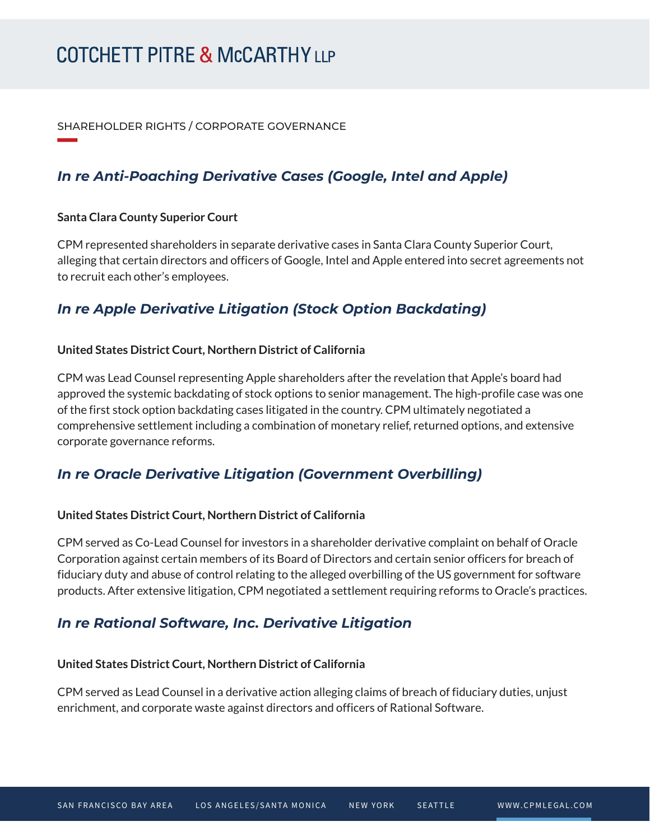#### SHAREHOLDER RIGHTS / CORPORATE GOVERNANCE

## *In re Anti-Poaching Derivative Cases (Google, Intel and Apple)*

#### **Santa Clara County Superior Court**

**William Company** 

CPM represented shareholders in separate derivative cases in Santa Clara County Superior Court, alleging that certain directors and officers of Google, Intel and Apple entered into secret agreements not to recruit each other's employees.

## *In re Apple Derivative Litigation (Stock Option Backdating)*

#### **United States District Court, Northern District of California**

CPM was Lead Counsel representing Apple shareholders after the revelation that Apple's board had approved the systemic backdating of stock options to senior management. The high-profile case was one of the first stock option backdating cases litigated in the country. CPM ultimately negotiated a comprehensive settlement including a combination of monetary relief, returned options, and extensive corporate governance reforms.

## *In re Oracle Derivative Litigation (Government Overbilling)*

#### **United States District Court, Northern District of California**

CPM served as Co-Lead Counsel for investors in a shareholder derivative complaint on behalf of Oracle Corporation against certain members of its Board of Directors and certain senior officers for breach of fiduciary duty and abuse of control relating to the alleged overbilling of the US government for software products. After extensive litigation, CPM negotiated a settlement requiring reforms to Oracle's practices.

### *In re Rational Software, Inc. Derivative Litigation*

#### **United States District Court, Northern District of California**

CPM served as Lead Counsel in a derivative action alleging claims of breach of fiduciary duties, unjust enrichment, and corporate waste against directors and officers of Rational Software.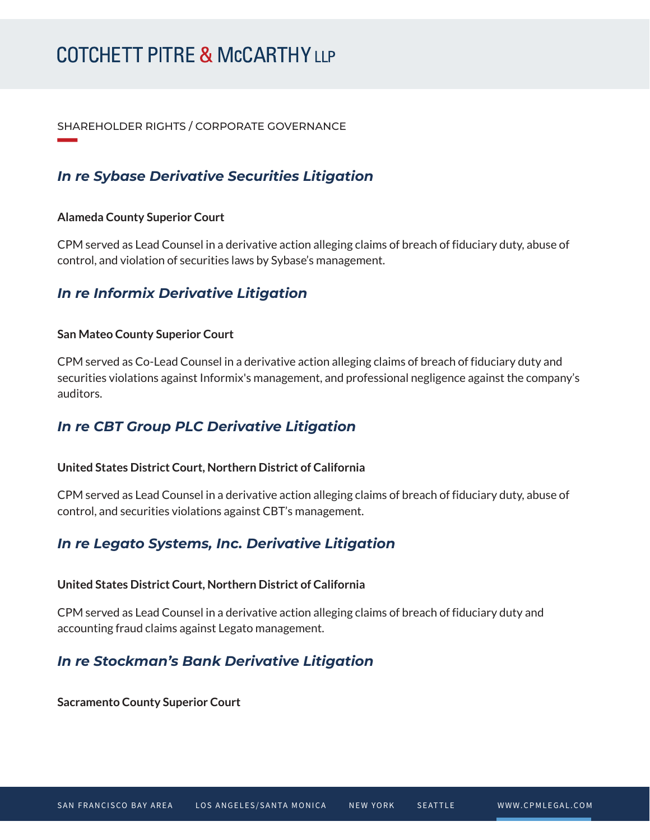#### SHAREHOLDER RIGHTS / CORPORATE GOVERNANCE

## *In re Sybase Derivative Securities Litigation*

#### **Alameda County Superior Court**

**William Company** 

CPM served as Lead Counsel in a derivative action alleging claims of breach of fiduciary duty, abuse of control, and violation of securities laws by Sybase's management.

## *In re Informix Derivative Litigation*

#### **San Mateo County Superior Court**

CPM served as Co-Lead Counsel in a derivative action alleging claims of breach of fiduciary duty and securities violations against Informix's management, and professional negligence against the company's auditors.

### *In re CBT Group PLC Derivative Litigation*

#### **United States District Court, Northern District of California**

CPM served as Lead Counsel in a derivative action alleging claims of breach of fiduciary duty, abuse of control, and securities violations against CBT's management.

## *In re Legato Systems, Inc. Derivative Litigation*

#### **United States District Court, Northern District of California**

CPM served as Lead Counsel in a derivative action alleging claims of breach of fiduciary duty and accounting fraud claims against Legato management.

## *In re Stockman's Bank Derivative Litigation*

**Sacramento County Superior Court**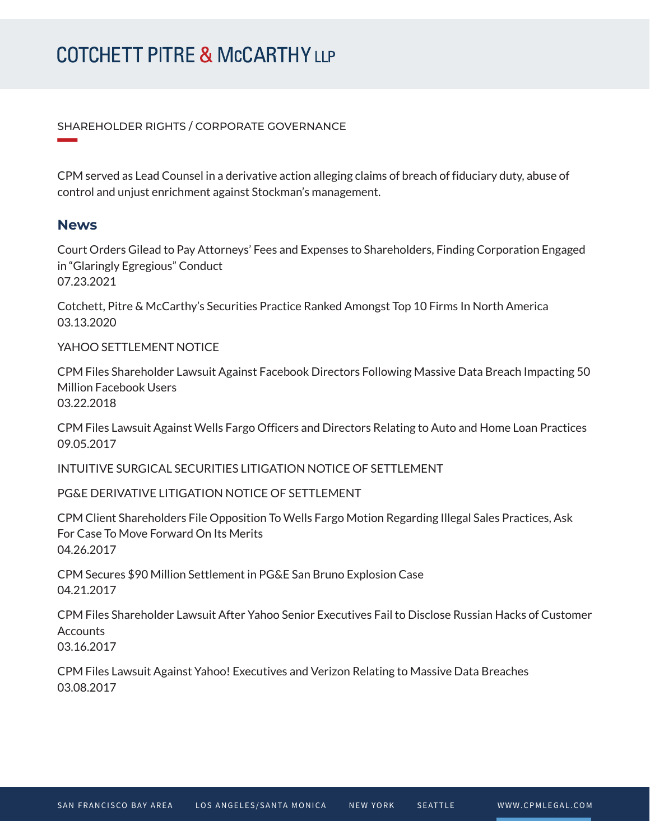#### SHAREHOLDER RIGHTS / CORPORATE GOVERNANCE

CPM served as Lead Counsel in a derivative action alleging claims of breach of fiduciary duty, abuse of control and unjust enrichment against Stockman's management.

#### **News**

**William Company** 

Court Orders Gilead to Pay Attorneys' Fees and Expenses to Shareholders, Finding Corporation Engaged in "Glaringly Egregious" Conduct 07.23.2021

Cotchett, Pitre & McCarthy's Securities Practice Ranked Amongst Top 10 Firms In North America 03.13.2020

#### YAHOO SETTI EMENT NOTICE

CPM Files Shareholder Lawsuit Against Facebook Directors Following Massive Data Breach Impacting 50 Million Facebook Users 03.22.2018

CPM Files Lawsuit Against Wells Fargo Officers and Directors Relating to Auto and Home Loan Practices 09.05.2017

INTUITIVE SURGICAL SECURITIES LITIGATION NOTICE OF SETTLEMENT

PG&E DERIVATIVE LITIGATION NOTICE OF SETTLEMENT

CPM Client Shareholders File Opposition To Wells Fargo Motion Regarding Illegal Sales Practices, Ask For Case To Move Forward On Its Merits 04.26.2017

CPM Secures \$90 Million Settlement in PG&E San Bruno Explosion Case 04.21.2017

CPM Files Shareholder Lawsuit After Yahoo Senior Executives Fail to Disclose Russian Hacks of Customer **Accounts** 03.16.2017

CPM Files Lawsuit Against Yahoo! Executives and Verizon Relating to Massive Data Breaches 03.08.2017